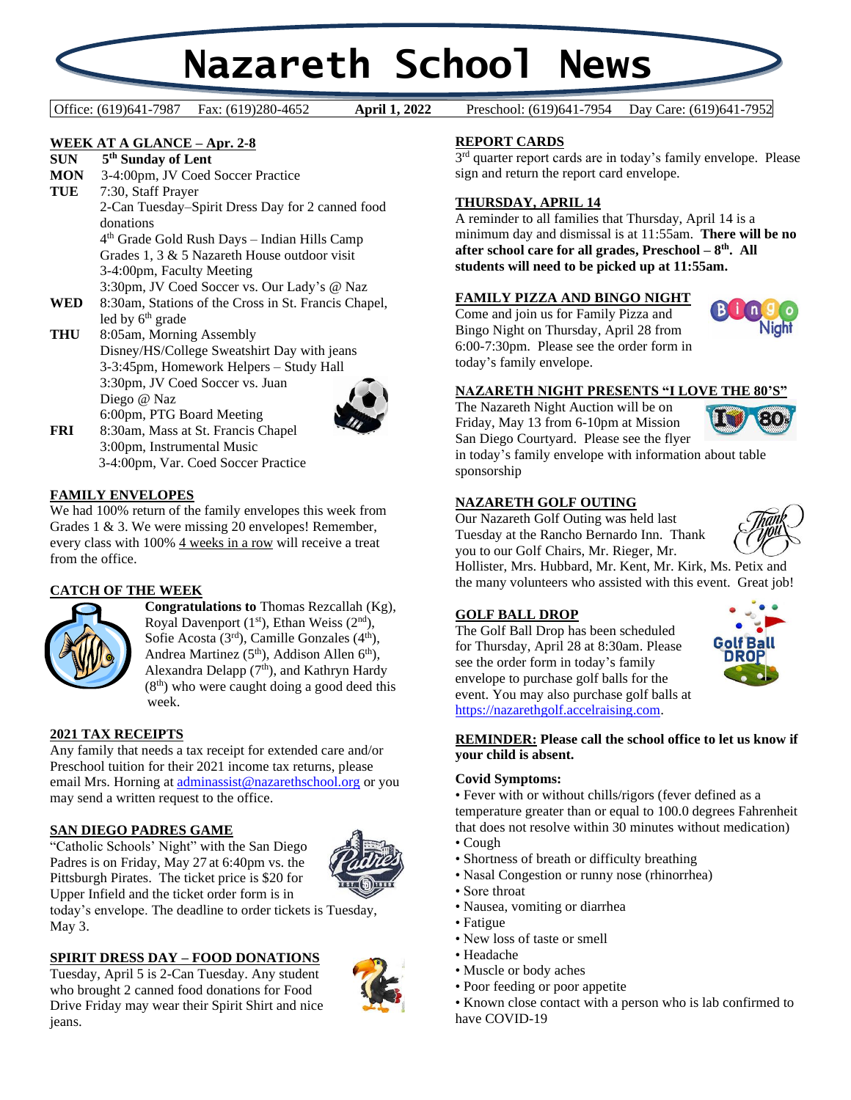# **Nazareth School News**

Office: (619)641-7987 Fax: (619)280-4652 **April 1, 2022** Preschool: (619)641-7954 Day Care: (619)641-7952

April 1, 2022

#### **WEEK AT A GLANCE – Apr. 2-8**

**SUN 5 th Sunday of Lent**

**MON** 3-4:00pm, JV Coed Soccer Practice

**TUE** 7:30, Staff Prayer 2-Can Tuesday–Spirit Dress Day for 2 canned food donations

4 th Grade Gold Rush Days – Indian Hills Camp Grades 1, 3 & 5 Nazareth House outdoor visit 3-4:00pm, Faculty Meeting

3:30pm, JV Coed Soccer vs. Our Lady's @ Naz

- **WED** 8:30am, Stations of the Cross in St. Francis Chapel, led by 6<sup>th</sup> grade
- **THU** 8:05am, Morning Assembly Disney/HS/College Sweatshirt Day with jeans 3-3:45pm, Homework Helpers – Study Hall 3:30pm, JV Coed Soccer vs. Juan Diego @ Naz 6:00pm, PTG Board Meeting



**FRI** 8:30am, Mass at St. Francis Chapel 3:00pm, Instrumental Music 3-4:00pm, Var. Coed Soccer Practice

#### **FAMILY ENVELOPES**

We had 100% return of the family envelopes this week from Grades 1 & 3. We were missing 20 envelopes! Remember, every class with 100% 4 weeks in a row will receive a treat from the office.

#### **CATCH OF THE WEEK**



**Congratulations to** Thomas Rezcallah (Kg), Royal Davenport  $(1<sup>st</sup>)$ , Ethan Weiss  $(2<sup>nd</sup>)$ , Sofie Acosta  $(3<sup>rd</sup>)$ , Camille Gonzales  $(4<sup>th</sup>)$ , Andrea Martinez (5<sup>th</sup>), Addison Allen 6<sup>th</sup>), Alexandra Delapp (7<sup>th</sup>), and Kathryn Hardy  $(8<sup>th</sup>)$  who were caught doing a good deed this week.

#### **2021 TAX RECEIPTS**

Any family that needs a tax receipt for extended care and/or Preschool tuition for their 2021 income tax returns, please email Mrs. Horning a[t adminassist@nazarethschool.org](mailto:adminassist@nazarethschool.org) or you may send a written request to the office.

#### **SAN DIEGO PADRES GAME**

"Catholic Schools' Night" with the San Diego Padres is on Friday, May 27 at 6:40pm vs. the Pittsburgh Pirates. The ticket price is \$20 for Upper Infield and the ticket order form is in



today's envelope. The deadline to order tickets is Tuesday, May 3.

#### **SPIRIT DRESS DAY – FOOD DONATIONS**

Tuesday, April 5 is 2-Can Tuesday. Any student who brought 2 canned food donations for Food Drive Friday may wear their Spirit Shirt and nice jeans.



#### **REPORT CARDS**

3<sup>rd</sup> quarter report cards are in today's family envelope. Please sign and return the report card envelope.

#### **THURSDAY, APRIL 14**

A reminder to all families that Thursday, April 14 is a minimum day and dismissal is at 11:55am. **There will be no after school care for all grades, Preschool – 8 th. All students will need to be picked up at 11:55am.**

#### **FAMILY PIZZA AND BINGO NIGHT**

Come and join us for Family Pizza and Bingo Night on Thursday, April 28 from 6:00-7:30pm. Please see the order form in today's family envelope.



#### **NAZARETH NIGHT PRESENTS "I LOVE THE 80'S"**

The Nazareth Night Auction will be on Friday, May 13 from 6-10pm at Mission San Diego Courtyard. Please see the flyer



in today's family envelope with information about table sponsorship

#### **NAZARETH GOLF OUTING**

Our Nazareth Golf Outing was held last Tuesday at the Rancho Bernardo Inn. Thank you to our Golf Chairs, Mr. Rieger, Mr.

Hollister, Mrs. Hubbard, Mr. Kent, Mr. Kirk, Ms. Petix and the many volunteers who assisted with this event. Great job!

#### **GOLF BALL DROP**

The Golf Ball Drop has been scheduled for Thursday, April 28 at 8:30am. Please see the order form in today's family envelope to purchase golf balls for the event. You may also purchase golf balls at [https://nazarethgolf.accelraising.com.](https://nazarethgolf.accelraising.com/) 



#### **REMINDER: Please call the school office to let us know if your child is absent.**

#### **Covid Symptoms:**

• Fever with or without chills/rigors (fever defined as a temperature greater than or equal to 100.0 degrees Fahrenheit that does not resolve within 30 minutes without medication) • Cough

- 
- Shortness of breath or difficulty breathing
- Nasal Congestion or runny nose (rhinorrhea)
- Sore throat
- Nausea, vomiting or diarrhea
- Fatigue
- New loss of taste or smell
- Headache
- Muscle or body aches
- Poor feeding or poor appetite
- Known close contact with a person who is lab confirmed to have COVID-19